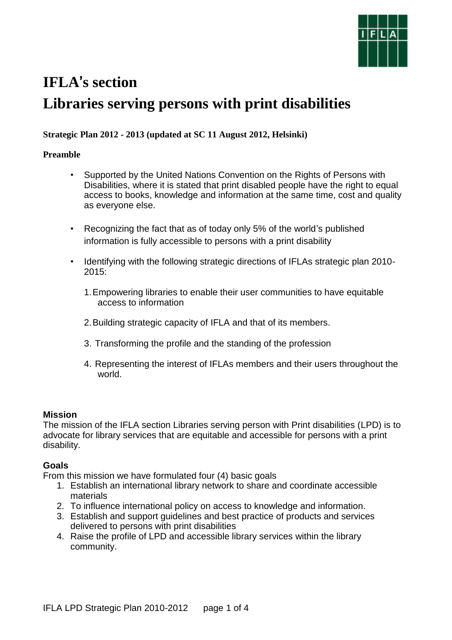

# **IFLA**'**s section Libraries serving persons with print disabilities**

## **Strategic Plan 2012 - 2013 (updated at SC 11 August 2012, Helsinki)**

## **Preamble**

- Supported by the United Nations Convention on the Rights of Persons with Disabilities, where it is stated that print disabled people have the right to equal access to books, knowledge and information at the same time, cost and quality as everyone else.
- Recognizing the fact that as of today only 5% of the world's published information is fully accessible to persons with a print disability
- Identifying with the following strategic directions of IFLAs strategic plan 2010- 2015:
	- 1.Empowering libraries to enable their user communities to have equitable access to information
	- 2.Building strategic capacity of IFLA and that of its members.
	- 3. Transforming the profile and the standing of the profession
	- 4. Representing the interest of IFLAs members and their users throughout the world.

## **Mission**

The mission of the IFLA section Libraries serving person with Print disabilities (LPD) is to advocate for library services that are equitable and accessible for persons with a print disability.

## **Goals**

From this mission we have formulated four (4) basic goals

- 1. Establish an international library network to share and coordinate accessible materials
- 2. To influence international policy on access to knowledge and information.
- 3. Establish and support guidelines and best practice of products and services delivered to persons with print disabilities
- 4. Raise the profile of LPD and accessible library services within the library community.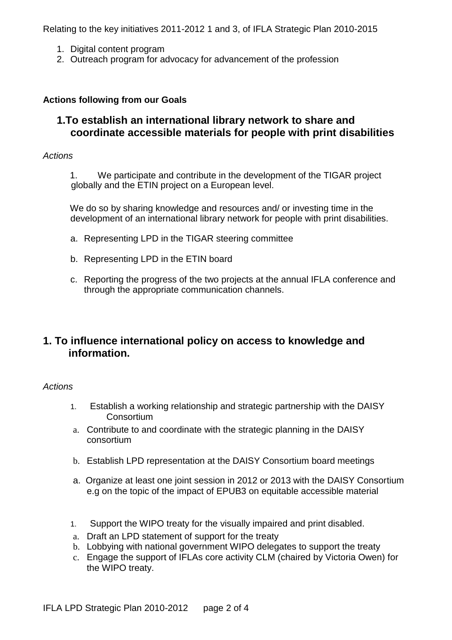Relating to the key initiatives 2011-2012 1 and 3, of IFLA Strategic Plan 2010-2015

- 1. Digital content program
- 2. Outreach program for advocacy for advancement of the profession

## **Actions following from our Goals**

# **1.To establish an international library network to share and coordinate accessible materials for people with print disabilities**

#### *Actions*

1. We participate and contribute in the development of the TIGAR project globally and the ETIN project on a European level.

We do so by sharing knowledge and resources and/ or investing time in the development of an international library network for people with print disabilities.

- a. Representing LPD in the TIGAR steering committee
- b. Representing LPD in the ETIN board
- c. Reporting the progress of the two projects at the annual IFLA conference and through the appropriate communication channels.

# **1. To influence international policy on access to knowledge and information.**

#### *Actions*

- 1. Establish a working relationship and strategic partnership with the DAISY **Consortium**
- a. Contribute to and coordinate with the strategic planning in the DAISY consortium
- b. Establish LPD representation at the DAISY Consortium board meetings
- a. Organize at least one joint session in 2012 or 2013 with the DAISY Consortium e.g on the topic of the impact of EPUB3 on equitable accessible material
- 1. Support the WIPO treaty for the visually impaired and print disabled.
- a. Draft an LPD statement of support for the treaty
- b. Lobbying with national government WIPO delegates to support the treaty
- c. Engage the support of IFLAs core activity CLM (chaired by Victoria Owen) for the WIPO treaty.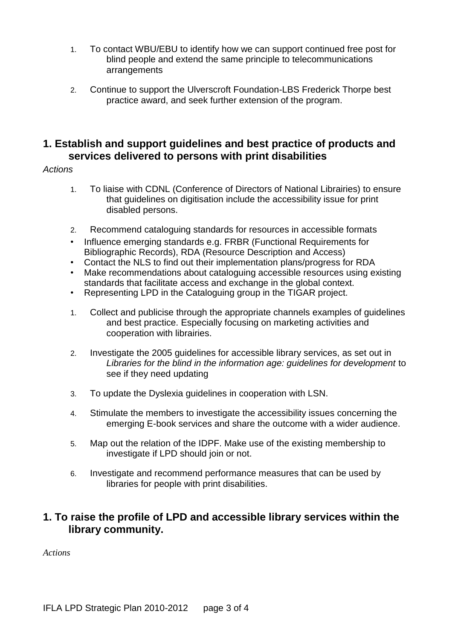- 1. To contact WBU/EBU to identify how we can support continued free post for blind people and extend the same principle to telecommunications arrangements
- 2. Continue to support the Ulverscroft Foundation-LBS Frederick Thorpe best practice award, and seek further extension of the program.

# **1. Establish and support guidelines and best practice of products and services delivered to persons with print disabilities**

## *Actions*

- 1. To liaise with CDNL (Conference of Directors of National Librairies) to ensure that guidelines on digitisation include the accessibility issue for print disabled persons.
- 2. Recommend cataloguing standards for resources in accessible formats
- Influence emerging standards e.g. FRBR (Functional Requirements for Bibliographic Records), RDA (Resource Description and Access)
- Contact the NLS to find out their implementation plans/progress for RDA
- Make recommendations about cataloguing accessible resources using existing standards that facilitate access and exchange in the global context.
- Representing LPD in the Cataloguing group in the TIGAR project.
- 1. Collect and publicise through the appropriate channels examples of guidelines and best practice. Especially focusing on marketing activities and cooperation with librairies.
- 2. Investigate the 2005 guidelines for accessible library services, as set out in *Libraries for the blind in the information age: guidelines for development* to see if they need updating
- 3. To update the Dyslexia guidelines in cooperation with LSN.
- 4. Stimulate the members to investigate the accessibility issues concerning the emerging E-book services and share the outcome with a wider audience.
- 5. Map out the relation of the IDPF. Make use of the existing membership to investigate if LPD should join or not.
- 6. Investigate and recommend performance measures that can be used by libraries for people with print disabilities.

# **1. To raise the profile of LPD and accessible library services within the library community.**

*Actions*